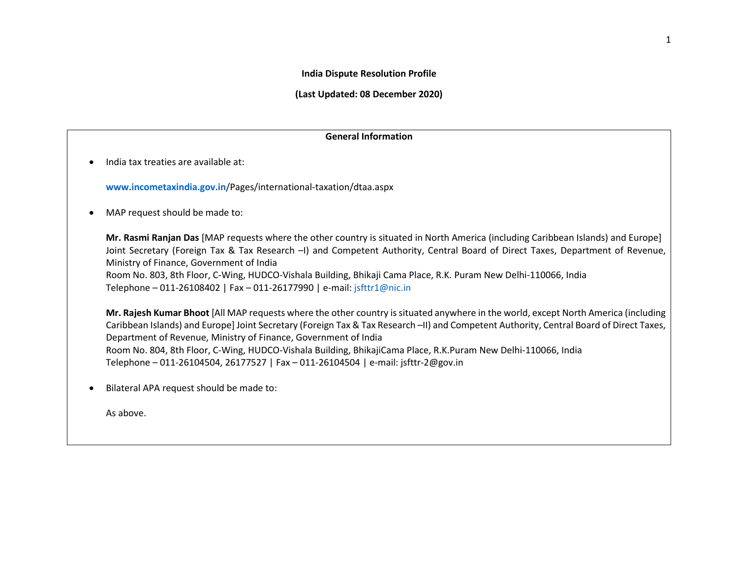#### **India Dispute Resolution Profile**

**(Last Updated: 08 December 2020)** 

### **General Information**

• India tax treaties are available at:

**[www.incometaxindia.gov.in](http://www.incometaxindia.gov.in/)**/Pages/international-taxation/dtaa.aspx

• MAP request should be made to:

**Mr. Rasmi Ranjan Das** [MAP requests where the other country is situated in North America (including Caribbean Islands) and Europe] Joint Secretary (Foreign Tax & Tax Research –I) and Competent Authority, Central Board of Direct Taxes, Department of Revenue, Ministry of Finance, Government of India Room No. 803, 8th Floor, C-Wing, HUDCO-Vishala Building, Bhikaji Cama Place, R.K. Puram New Delhi-110066, India

Telephone – 011-26108402 | Fax – 011-26177990 | e-mail: [jsfttr1@nic.in](mailto:jsfttr1@nic.in)

**Mr. Rajesh Kumar Bhoot** [All MAP requests where the other country is situated anywhere in the world, except North America (including Caribbean Islands) and Europe] Joint Secretary (Foreign Tax & Tax Research –II) and Competent Authority, Central Board of Direct Taxes, Department of Revenue, Ministry of Finance, Government of India Room No. 804, 8th Floor, C-Wing, HUDCO-Vishala Building, BhikajiCama Place, R.K.Puram New Delhi-110066, India Telephone – 011-26104504, 26177527 | Fax – 011-26104504 | e-mail: jsfttr-2@gov.in

• Bilateral APA request should be made to:

As above.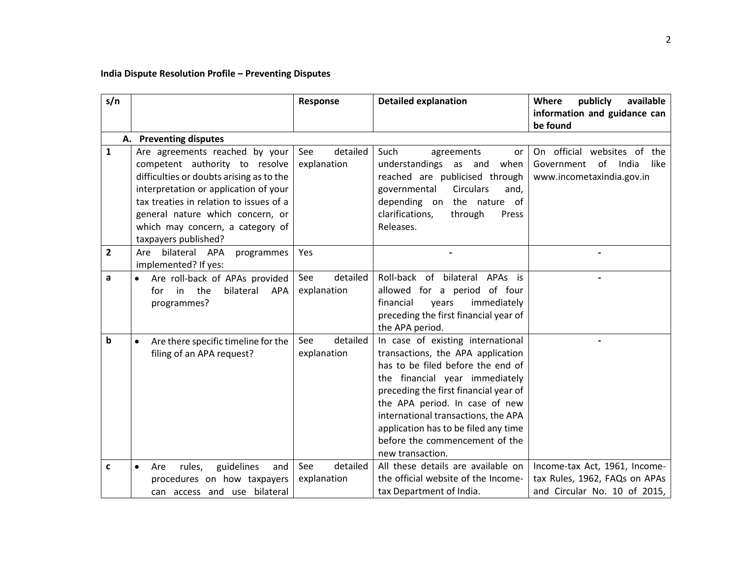# **India Dispute Resolution Profile – Preventing Disputes**

| s/n          |                                                                                                                                                                                                                                                                                                  | <b>Detailed explanation</b><br>Response |                                                                                                                                                                                                                                                                                                                                                               | Where<br>publicly<br>available                                                                 |
|--------------|--------------------------------------------------------------------------------------------------------------------------------------------------------------------------------------------------------------------------------------------------------------------------------------------------|-----------------------------------------|---------------------------------------------------------------------------------------------------------------------------------------------------------------------------------------------------------------------------------------------------------------------------------------------------------------------------------------------------------------|------------------------------------------------------------------------------------------------|
|              |                                                                                                                                                                                                                                                                                                  |                                         |                                                                                                                                                                                                                                                                                                                                                               | information and guidance can<br>be found                                                       |
|              | A. Preventing disputes                                                                                                                                                                                                                                                                           |                                         |                                                                                                                                                                                                                                                                                                                                                               |                                                                                                |
| $\mathbf{1}$ | Are agreements reached by your<br>competent authority to resolve<br>difficulties or doubts arising as to the<br>interpretation or application of your<br>tax treaties in relation to issues of a<br>general nature which concern, or<br>which may concern, a category of<br>taxpayers published? | See<br>detailed<br>explanation          | Such<br>agreements<br>or<br>understandings as and<br>when<br>reached are publicised through<br>governmental<br><b>Circulars</b><br>and.<br>depending on the nature of<br>clarifications,<br>through<br>Press<br>Releases.                                                                                                                                     | On official websites of the<br>Government of India<br>like<br>www.incometaxindia.gov.in        |
| $\mathbf{2}$ | Are bilateral APA<br>programmes<br>implemented? If yes:                                                                                                                                                                                                                                          | Yes                                     |                                                                                                                                                                                                                                                                                                                                                               |                                                                                                |
| a            | Are roll-back of APAs provided<br>the<br>in in<br>bilateral<br>APA<br>for<br>programmes?                                                                                                                                                                                                         | detailed<br>See<br>explanation          | Roll-back of<br>bilateral<br>APAs is<br>allowed for a period of four<br>immediately<br>financial<br>years<br>preceding the first financial year of<br>the APA period.                                                                                                                                                                                         |                                                                                                |
| b            | Are there specific timeline for the<br>$\bullet$<br>filing of an APA request?                                                                                                                                                                                                                    | detailed<br>See<br>explanation          | In case of existing international<br>transactions, the APA application<br>has to be filed before the end of<br>the financial year immediately<br>preceding the first financial year of<br>the APA period. In case of new<br>international transactions, the APA<br>application has to be filed any time<br>before the commencement of the<br>new transaction. |                                                                                                |
| C            | guidelines<br>rules,<br>and<br>Are<br>procedures on how taxpayers<br>can access and use bilateral                                                                                                                                                                                                | detailed<br>See<br>explanation          | All these details are available on<br>the official website of the Income-<br>tax Department of India.                                                                                                                                                                                                                                                         | Income-tax Act, 1961, Income-<br>tax Rules, 1962, FAQs on APAs<br>and Circular No. 10 of 2015, |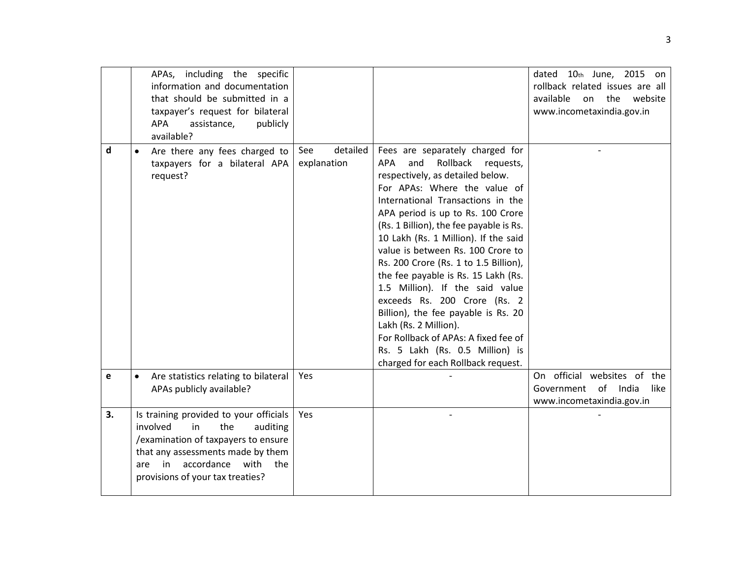|    | APAs, including the specific<br>information and documentation<br>that should be submitted in a<br>taxpayer's request for bilateral<br>APA<br>publicly<br>assistance,<br>available?                                                    |                                |                                                                                                                                                                                                                                                                                                                                                                                                                                                                                                                                                                                                                                                                                      | dated 10th June, 2015 on<br>rollback related issues are all<br>available<br>on the website<br>www.incometaxindia.gov.in |
|----|---------------------------------------------------------------------------------------------------------------------------------------------------------------------------------------------------------------------------------------|--------------------------------|--------------------------------------------------------------------------------------------------------------------------------------------------------------------------------------------------------------------------------------------------------------------------------------------------------------------------------------------------------------------------------------------------------------------------------------------------------------------------------------------------------------------------------------------------------------------------------------------------------------------------------------------------------------------------------------|-------------------------------------------------------------------------------------------------------------------------|
| d  | Are there any fees charged to<br>taxpayers for a bilateral APA<br>request?                                                                                                                                                            | detailed<br>See<br>explanation | Fees are separately charged for<br>Rollback requests,<br><b>APA</b><br>and<br>respectively, as detailed below.<br>For APAs: Where the value of<br>International Transactions in the<br>APA period is up to Rs. 100 Crore<br>(Rs. 1 Billion), the fee payable is Rs.<br>10 Lakh (Rs. 1 Million). If the said<br>value is between Rs. 100 Crore to<br>Rs. 200 Crore (Rs. 1 to 1.5 Billion),<br>the fee payable is Rs. 15 Lakh (Rs.<br>1.5 Million). If the said value<br>exceeds Rs. 200 Crore (Rs. 2<br>Billion), the fee payable is Rs. 20<br>Lakh (Rs. 2 Million).<br>For Rollback of APAs: A fixed fee of<br>Rs. 5 Lakh (Rs. 0.5 Million) is<br>charged for each Rollback request. |                                                                                                                         |
| е  | Are statistics relating to bilateral<br>$\bullet$<br>APAs publicly available?                                                                                                                                                         | Yes                            |                                                                                                                                                                                                                                                                                                                                                                                                                                                                                                                                                                                                                                                                                      | On official websites of the<br>of India<br>Government<br>like<br>www.incometaxindia.gov.in                              |
| 3. | Is training provided to your officials<br>involved<br>in<br>the<br>auditing<br>/examination of taxpayers to ensure<br>that any assessments made by them<br>accordance<br>in<br>with<br>the<br>are<br>provisions of your tax treaties? | Yes                            |                                                                                                                                                                                                                                                                                                                                                                                                                                                                                                                                                                                                                                                                                      |                                                                                                                         |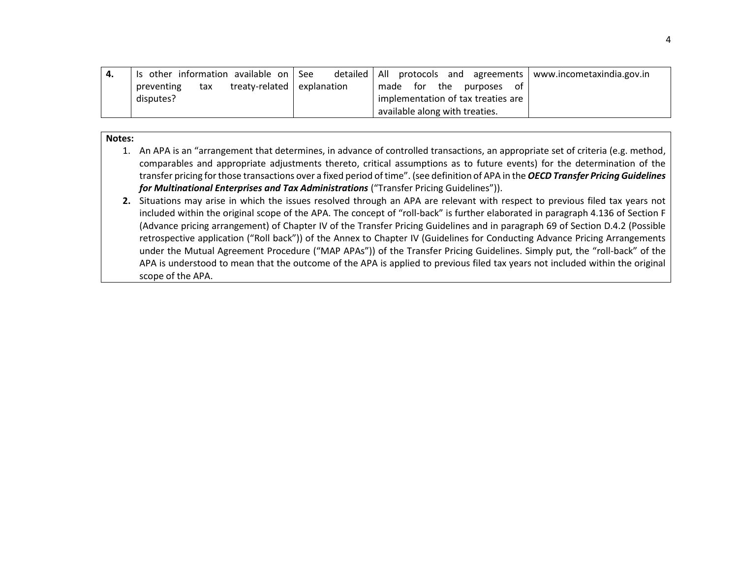| Is other information available on See             | detailed   All protocols and agreements | www.incometaxindia.gov.in |
|---------------------------------------------------|-----------------------------------------|---------------------------|
| treaty-related   explanation<br>preventing<br>tax | the<br>made for<br>purposes<br>ot       |                           |
| disputes?                                         | implementation of tax treaties are      |                           |
|                                                   | available along with treaties.          |                           |

#### **Notes:**

- 1. An APA is an "arrangement that determines, in advance of controlled transactions, an appropriate set of criteria (e.g. method, comparables and appropriate adjustments thereto, critical assumptions as to future events) for the determination of the transfer pricing for those transactions over a fixed period of time". (see definition of APA in the *OECD Transfer Pricing Guidelines for Multinational Enterprises and Tax Administrations* ("Transfer Pricing Guidelines")).
- **2.** Situations may arise in which the issues resolved through an APA are relevant with respect to previous filed tax years not included within the original scope of the APA. The concept of "roll-back" is further elaborated in paragraph 4.136 of Section F (Advance pricing arrangement) of Chapter IV of the Transfer Pricing Guidelines and in paragraph 69 of Section D.4.2 (Possible retrospective application ("Roll back")) of the Annex to Chapter IV (Guidelines for Conducting Advance Pricing Arrangements under the Mutual Agreement Procedure ("MAP APAs")) of the Transfer Pricing Guidelines. Simply put, the "roll-back" of the APA is understood to mean that the outcome of the APA is applied to previous filed tax years not included within the original scope of the APA.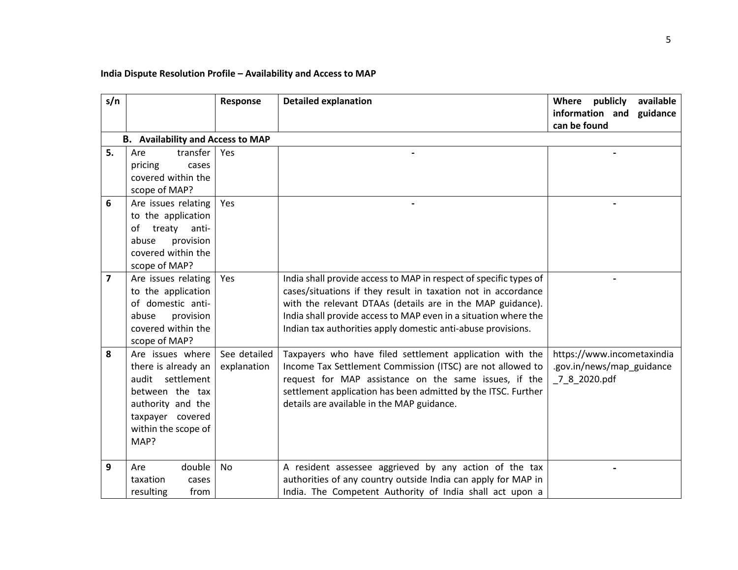# **India Dispute Resolution Profile – Availability and Access to MAP**

| s/n            |                                                                                                                                                           | Response                    | <b>Detailed explanation</b>                                                                                                                                                                                                                                                                                                         | available<br>Where publicly<br>information and<br>guidance<br>can be found |
|----------------|-----------------------------------------------------------------------------------------------------------------------------------------------------------|-----------------------------|-------------------------------------------------------------------------------------------------------------------------------------------------------------------------------------------------------------------------------------------------------------------------------------------------------------------------------------|----------------------------------------------------------------------------|
|                | <b>B.</b> Availability and Access to MAP                                                                                                                  |                             |                                                                                                                                                                                                                                                                                                                                     |                                                                            |
| 5.             | transfer<br>Are<br>pricing<br>cases<br>covered within the<br>scope of MAP?                                                                                | Yes                         |                                                                                                                                                                                                                                                                                                                                     |                                                                            |
| 6              | Are issues relating<br>to the application<br>treaty<br>anti-<br>of<br>provision<br>abuse<br>covered within the<br>scope of MAP?                           | Yes                         |                                                                                                                                                                                                                                                                                                                                     |                                                                            |
| $\overline{7}$ | Are issues relating<br>to the application<br>of domestic anti-<br>abuse<br>provision<br>covered within the<br>scope of MAP?                               | Yes                         | India shall provide access to MAP in respect of specific types of<br>cases/situations if they result in taxation not in accordance<br>with the relevant DTAAs (details are in the MAP guidance).<br>India shall provide access to MAP even in a situation where the<br>Indian tax authorities apply domestic anti-abuse provisions. |                                                                            |
| 8              | Are issues where<br>there is already an<br>settlement<br>audit<br>between the tax<br>authority and the<br>taxpayer covered<br>within the scope of<br>MAP? | See detailed<br>explanation | Taxpayers who have filed settlement application with the<br>Income Tax Settlement Commission (ITSC) are not allowed to<br>request for MAP assistance on the same issues, if the<br>settlement application has been admitted by the ITSC. Further<br>details are available in the MAP guidance.                                      | https://www.incometaxindia<br>.gov.in/news/map_guidance<br>_7_8_2020.pdf   |
| 9              | double<br>Are<br>taxation<br>cases<br>resulting<br>from                                                                                                   | <b>No</b>                   | A resident assessee aggrieved by any action of the tax<br>authorities of any country outside India can apply for MAP in<br>India. The Competent Authority of India shall act upon a                                                                                                                                                 |                                                                            |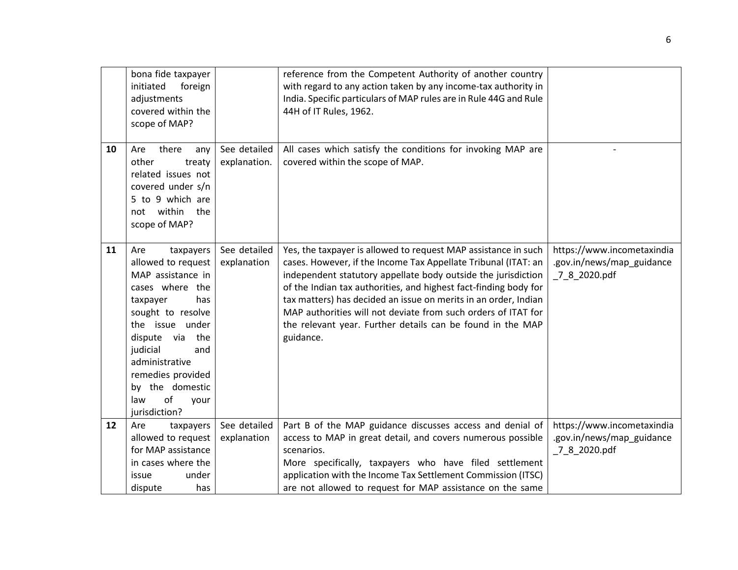|    | bona fide taxpayer<br>initiated<br>foreign<br>adjustments<br>covered within the<br>scope of MAP?                                                                                                                                                                                   |                              | reference from the Competent Authority of another country<br>with regard to any action taken by any income-tax authority in<br>India. Specific particulars of MAP rules are in Rule 44G and Rule<br>44H of IT Rules, 1962.                                                                                                                                                                                                                                                           |                                                                          |
|----|------------------------------------------------------------------------------------------------------------------------------------------------------------------------------------------------------------------------------------------------------------------------------------|------------------------------|--------------------------------------------------------------------------------------------------------------------------------------------------------------------------------------------------------------------------------------------------------------------------------------------------------------------------------------------------------------------------------------------------------------------------------------------------------------------------------------|--------------------------------------------------------------------------|
| 10 | there<br>Are<br>any<br>other<br>treaty<br>related issues not<br>covered under s/n<br>5 to 9 which are<br>not within<br>the<br>scope of MAP?                                                                                                                                        | See detailed<br>explanation. | All cases which satisfy the conditions for invoking MAP are<br>covered within the scope of MAP.                                                                                                                                                                                                                                                                                                                                                                                      |                                                                          |
| 11 | taxpayers<br>Are<br>allowed to request<br>MAP assistance in<br>cases where the<br>taxpayer<br>has<br>sought to resolve<br>the issue under<br>dispute via<br>the<br>judicial<br>and<br>administrative<br>remedies provided<br>by the domestic<br>of<br>law<br>your<br>jurisdiction? | See detailed<br>explanation  | Yes, the taxpayer is allowed to request MAP assistance in such<br>cases. However, if the Income Tax Appellate Tribunal (ITAT: an<br>independent statutory appellate body outside the jurisdiction<br>of the Indian tax authorities, and highest fact-finding body for<br>tax matters) has decided an issue on merits in an order, Indian<br>MAP authorities will not deviate from such orders of ITAT for<br>the relevant year. Further details can be found in the MAP<br>guidance. | https://www.incometaxindia<br>.gov.in/news/map_guidance<br>_7_8_2020.pdf |
| 12 | Are<br>taxpayers<br>allowed to request<br>for MAP assistance<br>in cases where the<br>issue<br>under<br>dispute<br>has                                                                                                                                                             | See detailed<br>explanation  | Part B of the MAP guidance discusses access and denial of<br>access to MAP in great detail, and covers numerous possible<br>scenarios.<br>More specifically, taxpayers who have filed settlement<br>application with the Income Tax Settlement Commission (ITSC)<br>are not allowed to request for MAP assistance on the same                                                                                                                                                        | https://www.incometaxindia<br>.gov.in/news/map_guidance<br>_7_8_2020.pdf |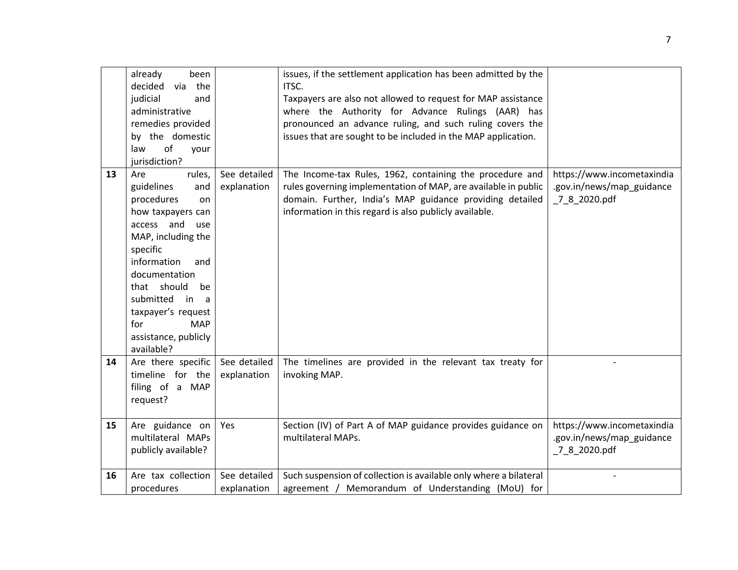|    | already<br>been<br>via the<br>decided |              | issues, if the settlement application has been admitted by the<br>ITSC. |                            |
|----|---------------------------------------|--------------|-------------------------------------------------------------------------|----------------------------|
|    |                                       |              |                                                                         |                            |
|    | judicial<br>and                       |              | Taxpayers are also not allowed to request for MAP assistance            |                            |
|    | administrative                        |              | where the Authority for Advance Rulings (AAR) has                       |                            |
|    | remedies provided                     |              | pronounced an advance ruling, and such ruling covers the                |                            |
|    | by the domestic                       |              | issues that are sought to be included in the MAP application.           |                            |
|    | of<br>law<br>your                     |              |                                                                         |                            |
|    | jurisdiction?                         |              |                                                                         |                            |
| 13 | rules,<br>Are                         | See detailed | The Income-tax Rules, 1962, containing the procedure and                | https://www.incometaxindia |
|    | guidelines<br>and                     | explanation  | rules governing implementation of MAP, are available in public          | .gov.in/news/map_guidance  |
|    | procedures<br>on                      |              | domain. Further, India's MAP guidance providing detailed                | 7 8 2020.pdf               |
|    | how taxpayers can                     |              | information in this regard is also publicly available.                  |                            |
|    | access and use                        |              |                                                                         |                            |
|    | MAP, including the                    |              |                                                                         |                            |
|    | specific                              |              |                                                                         |                            |
|    | information<br>and                    |              |                                                                         |                            |
|    | documentation                         |              |                                                                         |                            |
|    | that should<br>be                     |              |                                                                         |                            |
|    | submitted in<br>a                     |              |                                                                         |                            |
|    | taxpayer's request                    |              |                                                                         |                            |
|    | <b>MAP</b><br>for                     |              |                                                                         |                            |
|    | assistance, publicly                  |              |                                                                         |                            |
|    | available?                            |              |                                                                         |                            |
| 14 | Are there specific                    | See detailed | The timelines are provided in the relevant tax treaty for               |                            |
|    | timeline for the                      | explanation  | invoking MAP.                                                           |                            |
|    |                                       |              |                                                                         |                            |
|    | filing of a MAP                       |              |                                                                         |                            |
|    | request?                              |              |                                                                         |                            |
| 15 | Are guidance on                       | Yes          | Section (IV) of Part A of MAP guidance provides guidance on             | https://www.incometaxindia |
|    | multilateral MAPs                     |              | multilateral MAPs.                                                      | .gov.in/news/map guidance  |
|    |                                       |              |                                                                         |                            |
|    | publicly available?                   |              |                                                                         | 7 8 2020.pdf               |
| 16 | Are tax collection                    | See detailed | Such suspension of collection is available only where a bilateral       |                            |
|    | procedures                            | explanation  | agreement / Memorandum of Understanding (MoU) for                       |                            |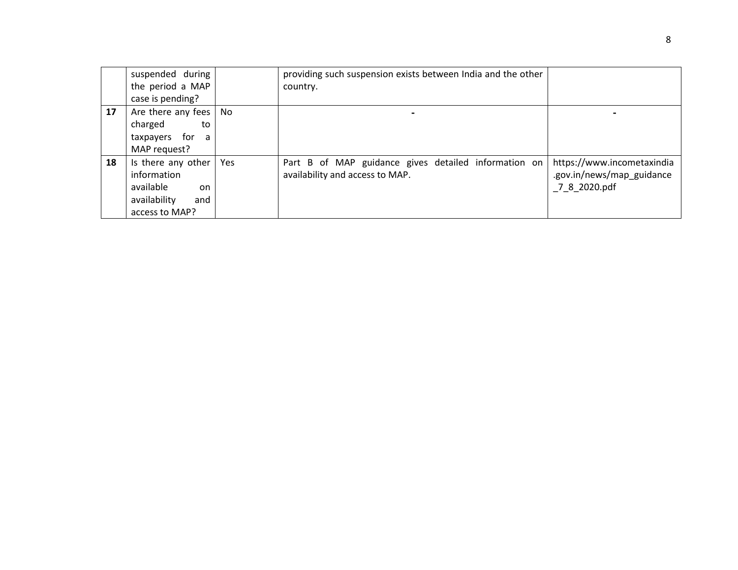|    | suspended during<br>the period a MAP<br>case is pending?                                      |     | providing such suspension exists between India and the other<br>country.                |                                                                         |
|----|-----------------------------------------------------------------------------------------------|-----|-----------------------------------------------------------------------------------------|-------------------------------------------------------------------------|
| 17 | Are there any fees<br>charged<br>to<br>taxpayers for a<br>MAP request?                        | No. |                                                                                         |                                                                         |
| 18 | Is there any other<br>information<br>available<br>on<br>availability<br>and<br>access to MAP? | Yes | Part B of MAP guidance gives detailed information on<br>availability and access to MAP. | https://www.incometaxindia<br>.gov.in/news/map_guidance<br>7 8 2020.pdf |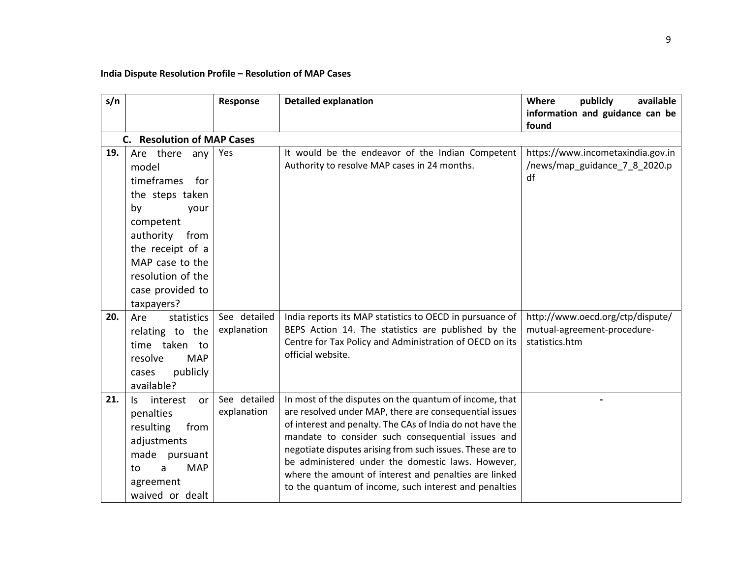## **India Dispute Resolution Profile – Resolution of MAP Cases**

| s/n |                                                                                                                                                                                                              | Response                    | <b>Detailed explanation</b>                                                                                                                                                                                                                                                                                                                                                                                                                                            | Where<br>publicly<br>available<br>information and guidance can be<br>found        |
|-----|--------------------------------------------------------------------------------------------------------------------------------------------------------------------------------------------------------------|-----------------------------|------------------------------------------------------------------------------------------------------------------------------------------------------------------------------------------------------------------------------------------------------------------------------------------------------------------------------------------------------------------------------------------------------------------------------------------------------------------------|-----------------------------------------------------------------------------------|
|     | <b>C.</b> Resolution of MAP Cases                                                                                                                                                                            |                             |                                                                                                                                                                                                                                                                                                                                                                                                                                                                        |                                                                                   |
| 19. | Are there any<br>model<br>timeframes<br>for<br>the steps taken<br>by<br>your<br>competent<br>authority<br>from<br>the receipt of a<br>MAP case to the<br>resolution of the<br>case provided to<br>taxpayers? | Yes                         | It would be the endeavor of the Indian Competent<br>Authority to resolve MAP cases in 24 months.                                                                                                                                                                                                                                                                                                                                                                       | https://www.incometaxindia.gov.in<br>/news/map_guidance_7_8_2020.p<br>df          |
| 20. | Are<br>statistics<br>relating to the<br>time taken to<br>resolve<br><b>MAP</b><br>publicly<br>cases<br>available?                                                                                            | See detailed<br>explanation | India reports its MAP statistics to OECD in pursuance of<br>BEPS Action 14. The statistics are published by the<br>Centre for Tax Policy and Administration of OECD on its<br>official website.                                                                                                                                                                                                                                                                        | http://www.oecd.org/ctp/dispute/<br>mutual-agreement-procedure-<br>statistics.htm |
| 21. | interest<br>Is.<br>or<br>penalties<br>resulting<br>from<br>adjustments<br>made pursuant<br><b>MAP</b><br>to<br>a<br>agreement<br>waived or dealt                                                             | See detailed<br>explanation | In most of the disputes on the quantum of income, that<br>are resolved under MAP, there are consequential issues<br>of interest and penalty. The CAs of India do not have the<br>mandate to consider such consequential issues and<br>negotiate disputes arising from such issues. These are to<br>be administered under the domestic laws. However,<br>where the amount of interest and penalties are linked<br>to the quantum of income, such interest and penalties |                                                                                   |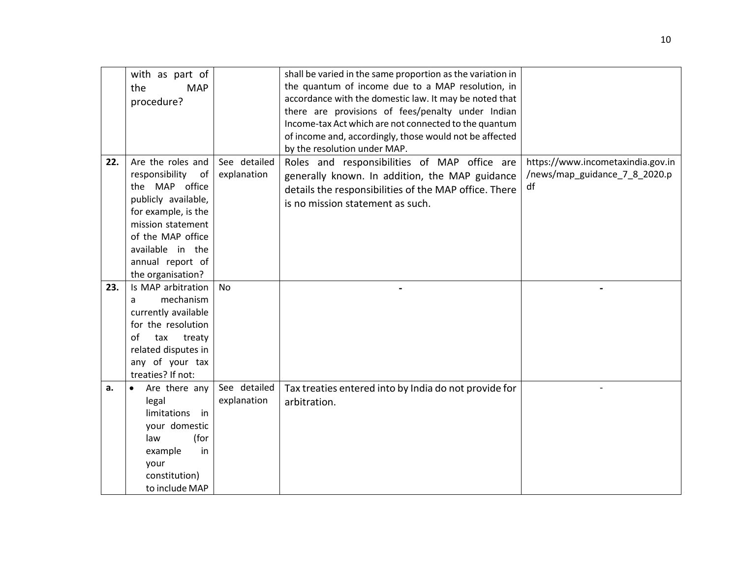|     | with as part of            |              | shall be varied in the same proportion as the variation in |                                   |
|-----|----------------------------|--------------|------------------------------------------------------------|-----------------------------------|
|     | <b>MAP</b><br>the          |              | the quantum of income due to a MAP resolution, in          |                                   |
|     | procedure?                 |              | accordance with the domestic law. It may be noted that     |                                   |
|     |                            |              | there are provisions of fees/penalty under Indian          |                                   |
|     |                            |              | Income-tax Act which are not connected to the quantum      |                                   |
|     |                            |              | of income and, accordingly, those would not be affected    |                                   |
|     |                            |              | by the resolution under MAP.                               |                                   |
| 22. | Are the roles and          | See detailed | Roles and responsibilities of MAP office are               | https://www.incometaxindia.gov.in |
|     | responsibility<br>of       | explanation  | generally known. In addition, the MAP guidance             | /news/map_guidance_7_8_2020.p     |
|     | the MAP office             |              | details the responsibilities of the MAP office. There      | df                                |
|     | publicly available,        |              |                                                            |                                   |
|     | for example, is the        |              | is no mission statement as such.                           |                                   |
|     | mission statement          |              |                                                            |                                   |
|     | of the MAP office          |              |                                                            |                                   |
|     | available in the           |              |                                                            |                                   |
|     | annual report of           |              |                                                            |                                   |
|     | the organisation?          |              |                                                            |                                   |
|     |                            |              |                                                            |                                   |
| 23. | Is MAP arbitration         | <b>No</b>    |                                                            |                                   |
|     | mechanism<br>a             |              |                                                            |                                   |
|     | currently available        |              |                                                            |                                   |
|     | for the resolution         |              |                                                            |                                   |
|     | of<br>tax<br>treaty        |              |                                                            |                                   |
|     | related disputes in        |              |                                                            |                                   |
|     | any of your tax            |              |                                                            |                                   |
|     | treaties? If not:          |              |                                                            |                                   |
| a.  | Are there any<br>$\bullet$ | See detailed | Tax treaties entered into by India do not provide for      |                                   |
|     | legal                      | explanation  | arbitration.                                               |                                   |
|     | limitations in             |              |                                                            |                                   |
|     | your domestic              |              |                                                            |                                   |
|     | (for<br>law                |              |                                                            |                                   |
|     | example<br>in              |              |                                                            |                                   |
|     | your                       |              |                                                            |                                   |
|     | constitution)              |              |                                                            |                                   |
|     | to include MAP             |              |                                                            |                                   |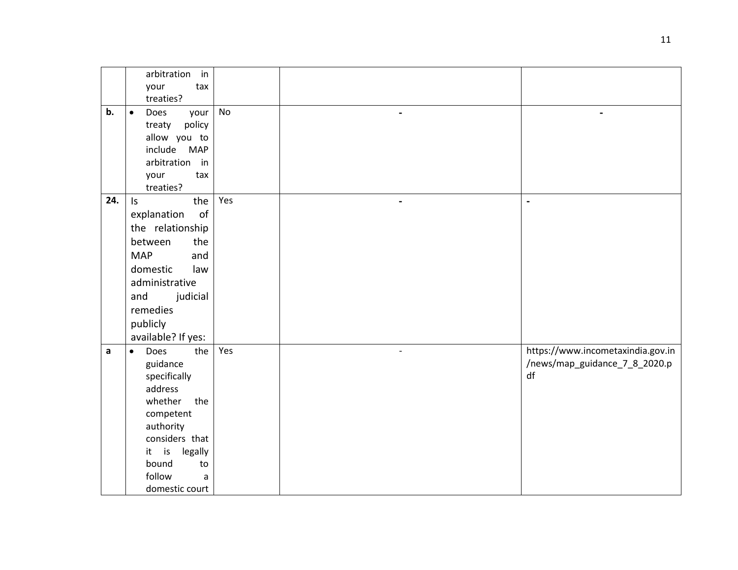|     | arbitration<br>in         |     |                          |                                                                    |
|-----|---------------------------|-----|--------------------------|--------------------------------------------------------------------|
|     | your<br>tax               |     |                          |                                                                    |
|     | treaties?                 |     |                          |                                                                    |
| b.  | $\bullet$<br>Does<br>your | No  |                          |                                                                    |
|     | policy<br>treaty          |     |                          |                                                                    |
|     | allow you to              |     |                          |                                                                    |
|     | include<br><b>MAP</b>     |     |                          |                                                                    |
|     | arbitration in            |     |                          |                                                                    |
|     | your<br>tax               |     |                          |                                                                    |
|     | treaties?                 |     |                          |                                                                    |
| 24. | the<br>$\mathsf{I}$ s     | Yes | $\blacksquare$           | $\blacksquare$                                                     |
|     | of<br>explanation         |     |                          |                                                                    |
|     | the relationship          |     |                          |                                                                    |
|     | between<br>the            |     |                          |                                                                    |
|     | <b>MAP</b><br>and         |     |                          |                                                                    |
|     | domestic<br>law           |     |                          |                                                                    |
|     | administrative            |     |                          |                                                                    |
|     | judicial<br>and           |     |                          |                                                                    |
|     | remedies                  |     |                          |                                                                    |
|     | publicly                  |     |                          |                                                                    |
|     |                           |     |                          |                                                                    |
|     | available? If yes:        |     |                          |                                                                    |
| a   | Does<br>the<br>$\bullet$  | Yes | $\overline{\phantom{a}}$ | https://www.incometaxindia.gov.in<br>/news/map_guidance_7_8_2020.p |
|     | guidance                  |     |                          | df                                                                 |
|     | specifically<br>address   |     |                          |                                                                    |
|     | whether<br>the            |     |                          |                                                                    |
|     | competent                 |     |                          |                                                                    |
|     | authority                 |     |                          |                                                                    |
|     | considers that            |     |                          |                                                                    |
|     | it is<br>legally          |     |                          |                                                                    |
|     | bound<br>to               |     |                          |                                                                    |
|     | follow<br>a               |     |                          |                                                                    |
|     | domestic court            |     |                          |                                                                    |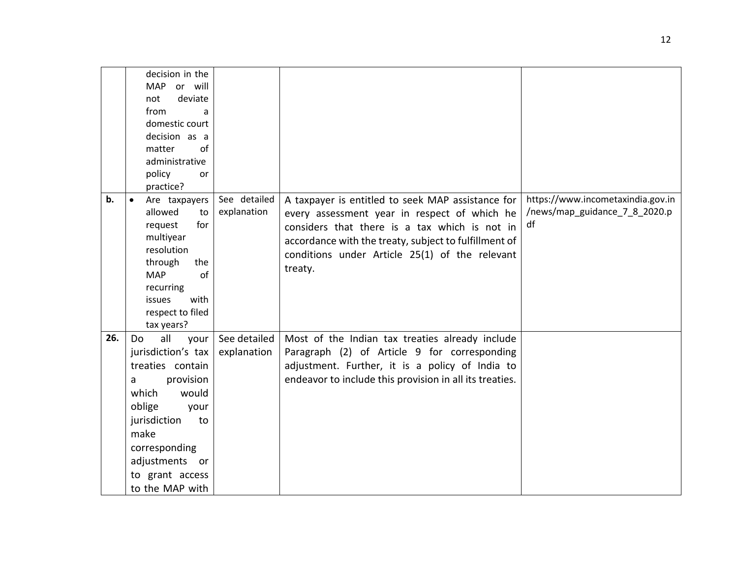|       | decision in the<br>or will<br><b>MAP</b> |              |                                                         |                                   |
|-------|------------------------------------------|--------------|---------------------------------------------------------|-----------------------------------|
|       | deviate<br>not                           |              |                                                         |                                   |
|       | from<br>a                                |              |                                                         |                                   |
|       | domestic court                           |              |                                                         |                                   |
|       | decision as a                            |              |                                                         |                                   |
|       | of<br>matter                             |              |                                                         |                                   |
|       | administrative                           |              |                                                         |                                   |
|       | policy<br><b>or</b>                      |              |                                                         |                                   |
|       | practice?                                |              |                                                         |                                   |
| $b$ . | Are taxpayers<br>$\bullet$               | See detailed | A taxpayer is entitled to seek MAP assistance for       | https://www.incometaxindia.gov.in |
|       | allowed<br>to                            | explanation  | every assessment year in respect of which he            | /news/map_guidance_7_8_2020.p     |
|       | request<br>for                           |              | considers that there is a tax which is not in           | df                                |
|       | multiyear                                |              | accordance with the treaty, subject to fulfillment of   |                                   |
|       | resolution                               |              | conditions under Article 25(1) of the relevant          |                                   |
|       | through<br>the                           |              | treaty.                                                 |                                   |
|       | of<br><b>MAP</b>                         |              |                                                         |                                   |
|       | recurring<br>with                        |              |                                                         |                                   |
|       | issues<br>respect to filed               |              |                                                         |                                   |
|       | tax years?                               |              |                                                         |                                   |
| 26.   | all<br>Do<br>your                        | See detailed | Most of the Indian tax treaties already include         |                                   |
|       | jurisdiction's tax                       | explanation  | Paragraph (2) of Article 9 for corresponding            |                                   |
|       | treaties contain                         |              | adjustment. Further, it is a policy of India to         |                                   |
|       | provision<br>a                           |              | endeavor to include this provision in all its treaties. |                                   |
|       | which<br>would                           |              |                                                         |                                   |
|       | oblige<br>your                           |              |                                                         |                                   |
|       | jurisdiction<br>to                       |              |                                                         |                                   |
|       | make                                     |              |                                                         |                                   |
|       | corresponding                            |              |                                                         |                                   |
|       |                                          |              |                                                         |                                   |
|       | adjustments or                           |              |                                                         |                                   |
|       | to grant access                          |              |                                                         |                                   |
|       | to the MAP with                          |              |                                                         |                                   |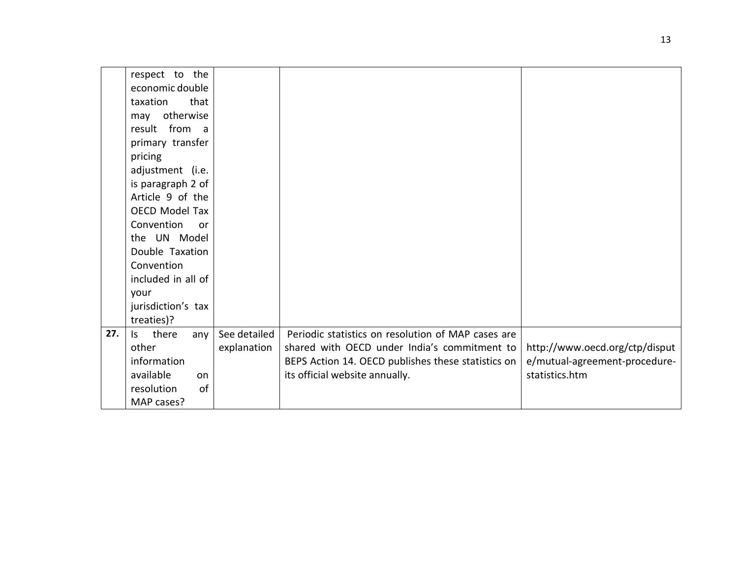|     | respect to the               |              |                                                    |                                |
|-----|------------------------------|--------------|----------------------------------------------------|--------------------------------|
|     | economic double              |              |                                                    |                                |
|     | that<br>taxation             |              |                                                    |                                |
|     | may otherwise                |              |                                                    |                                |
|     | result from a                |              |                                                    |                                |
|     | primary transfer             |              |                                                    |                                |
|     | pricing                      |              |                                                    |                                |
|     | adjustment (i.e.             |              |                                                    |                                |
|     | is paragraph 2 of            |              |                                                    |                                |
|     | Article 9 of the             |              |                                                    |                                |
|     | OECD Model Tax               |              |                                                    |                                |
|     | Convention<br><b>or</b>      |              |                                                    |                                |
|     | the UN Model                 |              |                                                    |                                |
|     | Double Taxation              |              |                                                    |                                |
|     | Convention                   |              |                                                    |                                |
|     | included in all of           |              |                                                    |                                |
|     | your                         |              |                                                    |                                |
|     | jurisdiction's tax           |              |                                                    |                                |
|     | treaties)?                   |              |                                                    |                                |
| 27. | there<br>$\mathsf{S}$<br>any | See detailed | Periodic statistics on resolution of MAP cases are |                                |
|     | other                        | explanation  | shared with OECD under India's commitment to       | http://www.oecd.org/ctp/disput |
|     | information                  |              | BEPS Action 14. OECD publishes these statistics on | e/mutual-agreement-procedure-  |
|     | available<br>on              |              | its official website annually.                     | statistics.htm                 |
|     | of<br>resolution             |              |                                                    |                                |
|     | MAP cases?                   |              |                                                    |                                |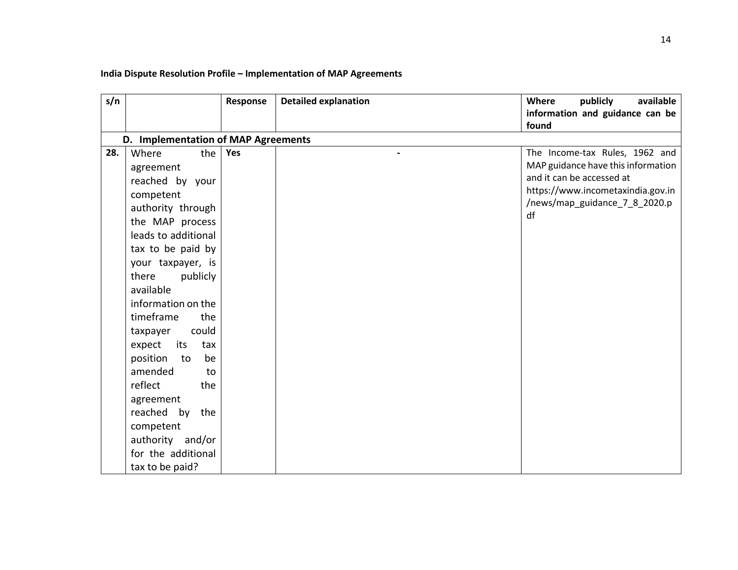## **India Dispute Resolution Profile – Implementation of MAP Agreements**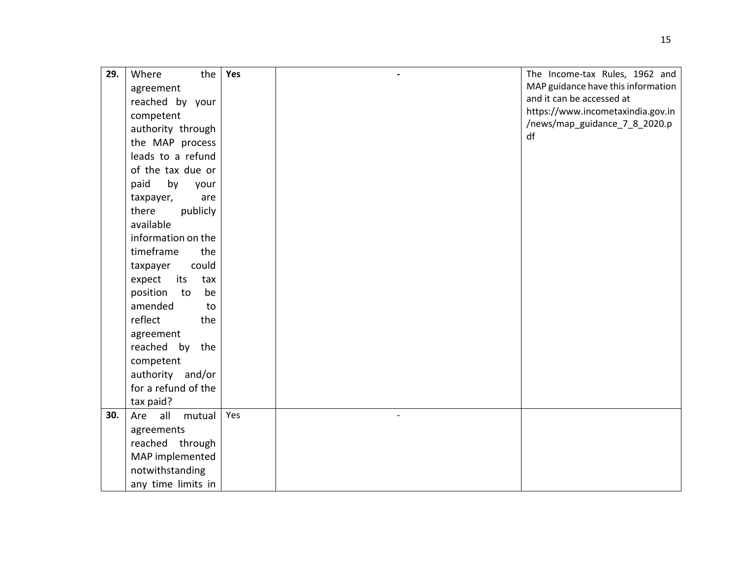| 29. | Where<br>the         | Yes | The Income-tax Rules, 1962 and     |
|-----|----------------------|-----|------------------------------------|
|     | agreement            |     | MAP guidance have this information |
|     | reached by your      |     | and it can be accessed at          |
|     | competent            |     | https://www.incometaxindia.gov.in  |
|     | authority through    |     | /news/map_guidance_7_8_2020.p      |
|     | the MAP process      |     | df                                 |
|     | leads to a refund    |     |                                    |
|     | of the tax due or    |     |                                    |
|     | paid<br>by<br>your   |     |                                    |
|     | taxpayer,<br>are     |     |                                    |
|     | there<br>publicly    |     |                                    |
|     | available            |     |                                    |
|     | information on the   |     |                                    |
|     | timeframe<br>the     |     |                                    |
|     | could<br>taxpayer    |     |                                    |
|     | expect<br>its<br>tax |     |                                    |
|     | position<br>be<br>to |     |                                    |
|     | amended<br>to        |     |                                    |
|     | reflect<br>the       |     |                                    |
|     | agreement            |     |                                    |
|     | reached by the       |     |                                    |
|     | competent            |     |                                    |
|     | authority and/or     |     |                                    |
|     | for a refund of the  |     |                                    |
|     | tax paid?            |     |                                    |
| 30. | Are all<br>mutual    | Yes |                                    |
|     | agreements           |     |                                    |
|     | reached through      |     |                                    |
|     | MAP implemented      |     |                                    |
|     | notwithstanding      |     |                                    |
|     | any time limits in   |     |                                    |